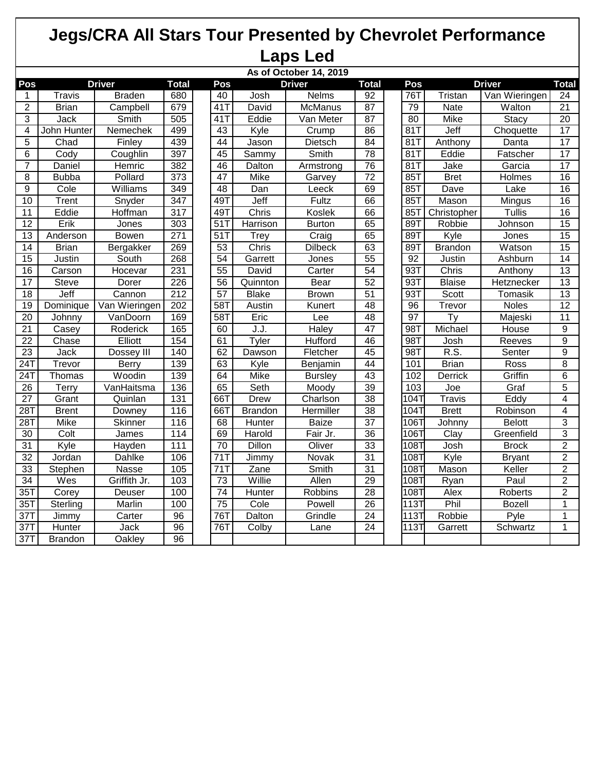## **Jegs/CRA All Stars Tour Presented by Chevrolet Performance Laps Led**

|                  | As of October 14, 2019 |               |                   |  |                 |                |                     |                 |  |                 |                 |                   |                 |
|------------------|------------------------|---------------|-------------------|--|-----------------|----------------|---------------------|-----------------|--|-----------------|-----------------|-------------------|-----------------|
| Pos              |                        | <b>Driver</b> | <b>Total</b>      |  | Pos             |                | <b>Driver</b>       | <b>Total</b>    |  | Pos             |                 | <b>Driver</b>     | <b>Total</b>    |
| 1                | Travis                 | <b>Braden</b> | 680               |  | 40              | Josh           | Nelms               | 92              |  | 76T             | Tristan         | Van Wieringen     | 24              |
| $\overline{2}$   | <b>Brian</b>           | Campbell      | 679               |  | 41T             | David          | <b>McManus</b>      | 87              |  | 79              | Nate            | Walton            | $\overline{21}$ |
| 3                | Jack                   | <b>Smith</b>  | 505               |  | $41$ T          | Eddie          | Van Meter           | 87              |  | $\overline{80}$ | <b>Mike</b>     | Stacy             | $\overline{20}$ |
| 4                | John Hunter            | Nemechek      | 499               |  | 43              | Kyle           | Crump               | 86              |  | 81              | Jeff            | Choquette         | 17              |
| 5                | Chad                   | Finley        | 439               |  | 44              | Jason          | Dietsch             | $\overline{84}$ |  | 81T             | Anthony         | Danta             | 17              |
| 6                | Cody                   | Coughlin      | 397               |  | 45              | Sammy          | Smith               | $\overline{78}$ |  | 81T             | Eddie           | Fatscher          | $\overline{17}$ |
| 7                | Daniel                 | Hemric        | 382               |  | 46              | <b>Dalton</b>  | Armstrong           | $\overline{76}$ |  | 81T             | Jake            | Garcia            | $\overline{17}$ |
| 8                | <b>Bubba</b>           | Pollard       | $\overline{373}$  |  | 47              | Mike           | Garvey              | $\overline{72}$ |  | 85T             | <b>Bret</b>     | <b>Holmes</b>     | 16              |
| $\boldsymbol{9}$ | Cole                   | Williams      | 349               |  | 48              | Dan            | Leeck               | 69              |  | 85T             | Dave            | Lake              | 16              |
| 10               | Trent                  | Snyder        | 347               |  | 49T             | Jeff           | Fultz               | 66              |  | 85T             | Mason           | Mingus            | 16              |
| 11               | Eddie                  | Hoffman       | $\overline{317}$  |  | 49T             | Chris          | Koslek              | 66              |  | 85T             | Christopher     | <b>Tullis</b>     | 16              |
| $\overline{12}$  | Erik                   | Jones         | $\overline{303}$  |  | 51              | Harrison       | <b>Burton</b>       | 65              |  | 89T             | Robbie          | Johnson           | 15              |
| $\overline{13}$  | Anderson               | <b>Bowen</b>  | 271               |  | 51T             | Trey           | $\overline{Cra}$ ig | 65              |  | 89T             | Kyle            | Jones             | $\overline{15}$ |
| 14               | <b>Brian</b>           | Bergakker     | 269               |  | 53              | Chris          | <b>Dilbeck</b>      | 63              |  | 89T             | <b>Brandon</b>  | Watson            | $\overline{15}$ |
| $\overline{15}$  | Justin                 | South         | 268               |  | 54              | Garrett        | Jones               | 55              |  | 92              | Justin          | Ashburn           | 14              |
| 16               | Carson                 | Hocevar       | 231               |  | $\overline{55}$ | David          | Carter              | $\overline{54}$ |  | 93T             | Chris           | Anthony           | $\overline{13}$ |
| 17               | Steve                  | Dorer         | $\overline{226}$  |  | 56              | Quinnton       | Bear                | 52              |  | 93T             | <b>Blaise</b>   | <b>Hetznecker</b> | $\overline{13}$ |
| 18               | Jeff                   | Cannon        | 212               |  | 57              | <b>Blake</b>   | <b>Brown</b>        | $\overline{51}$ |  | 93T             | Scott           | Tomasik           | $\overline{13}$ |
| 19               | Dominique              | Van Wieringen | 202               |  | 58T             | Austin         | Kunert              | 48              |  | 96              | Trevor          | Noles             | 12              |
| $\overline{20}$  | Johnny                 | VanDoorn      | 169               |  | 58T             | Eric           | Lee                 | $\overline{48}$ |  | $\overline{97}$ | $\overline{Ty}$ | Majeski           | $\overline{11}$ |
| $\overline{21}$  | Casey                  | Roderick      | 165               |  | 60              | J.J.           | Haley               | 47              |  | 98T             | Michael         | House             | $\overline{9}$  |
| $\overline{22}$  | Chase                  | Elliott       | 154               |  | 61              | Tyler          | <b>Hufford</b>      | 46              |  | 98T             | Josh            | Reeves            | $\overline{9}$  |
| 23               | Jack                   | Dossey III    | 140               |  | 62              | Dawson         | Fletcher            | 45              |  | 98T             | R.S.            | Senter            | $\overline{9}$  |
| $\overline{24T}$ | Trevor                 | <b>Berry</b>  | 139               |  | 63              | Kyle           | Benjamin            | 44              |  | 101             | <b>Brian</b>    | Ross              | 8               |
| 24T              | Thomas                 | Woodin        | 139               |  | 64              | Mike           | <b>Bursley</b>      | 43              |  | 102             | Derrick         | Griffin           | 6               |
| 26               | Terry                  | VanHaitsma    | 136               |  | 65              | Seth           | Moody               | 39              |  | 103             | Joe             | Graf              | $\overline{5}$  |
| $\overline{27}$  | Grant                  | Quinlan       | $\overline{131}$  |  | 66T             | Drew           | Charlson            | $\overline{38}$ |  | 104T            | <b>Travis</b>   | Eddy              | 4               |
| 28T              | <b>Brent</b>           | Downey        | 116               |  | 66T             | <b>Brandon</b> | Hermiller           | $\overline{38}$ |  | 104T            | <b>Brett</b>    | Robinson          | 4               |
| 28T              | Mike                   | Skinner       | 116               |  | 68              | Hunter         | <b>Baize</b>        | $\overline{37}$ |  | 106T            | Johnny          | <b>Belott</b>     | 3               |
| 30               | Colt                   | James         | 114               |  | 69              | Harold         | Fair Jr.            | 36              |  | 106T            | Clay            | Greenfield        | $\overline{3}$  |
| 31               | Kyle                   | Hayden        | 111               |  | 70              | Dillon         | Oliver              | 33              |  | 108T            | Josh            | <b>Brock</b>      | $\overline{2}$  |
| 32               | Jordan                 | Dahlke        | 106               |  | 71T             | Jimmy          | Novak               | $\overline{31}$ |  | 108T            | Kyle            | <b>Bryant</b>     | $\overline{2}$  |
| 33               | Stephen                | Nasse         | $\frac{105}{105}$ |  | 71T             | Zane           | Smith               | 31              |  | 108T            | Mason           | Keller            | $\overline{2}$  |
| 34               | Wes                    | Griffith Jr.  | 103               |  | 73              | Willie         | Allen               | 29              |  | 108T            | <b>Ryan</b>     | Paul              | $\overline{2}$  |
| 35T              | Corey                  | Deuser        | 100               |  | 74              | Hunter         | <b>Robbins</b>      | 28              |  | 108T            | Alex            | Roberts           | $\overline{2}$  |
| 35T              | Sterling               | Marlin        | 100               |  | 75              | Cole           | Powell              | 26              |  | 113T            | Phil            | <b>Bozell</b>     | $\mathbf{1}$    |
| 37T              | Jimmy                  | Carter        | 96                |  | 76T             | Dalton         | Grindle             | $\overline{24}$ |  | 113T            | Robbie          | Pyle              | 1               |
| 37T              | Hunter                 | Jack          | 96                |  | 76T             | Colby          | Lane                | $\overline{24}$ |  | 113T            | Garrett         | Schwartz          | 1               |
| 37T              | <b>Brandon</b>         | Oakley        | 96                |  |                 |                |                     |                 |  |                 |                 |                   |                 |